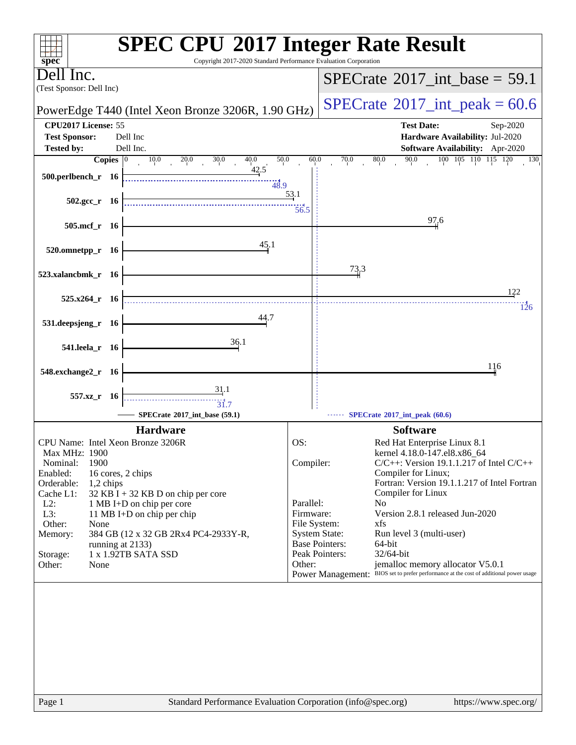| Copyright 2017-2020 Standard Performance Evaluation Corporation<br>$spec^*$                                                                                                                                                                                                                                                                                                                                       | <b>SPEC CPU®2017 Integer Rate Result</b>                                                                                                                                                                                                                                                                                                                                                                                                                                                                                                                                                |
|-------------------------------------------------------------------------------------------------------------------------------------------------------------------------------------------------------------------------------------------------------------------------------------------------------------------------------------------------------------------------------------------------------------------|-----------------------------------------------------------------------------------------------------------------------------------------------------------------------------------------------------------------------------------------------------------------------------------------------------------------------------------------------------------------------------------------------------------------------------------------------------------------------------------------------------------------------------------------------------------------------------------------|
| Dell Inc.                                                                                                                                                                                                                                                                                                                                                                                                         | $SPECrate^{\circ}2017\_int\_base = 59.1$                                                                                                                                                                                                                                                                                                                                                                                                                                                                                                                                                |
| (Test Sponsor: Dell Inc)                                                                                                                                                                                                                                                                                                                                                                                          |                                                                                                                                                                                                                                                                                                                                                                                                                                                                                                                                                                                         |
| PowerEdge T440 (Intel Xeon Bronze 3206R, 1.90 GHz)                                                                                                                                                                                                                                                                                                                                                                | $SPECTate$ <sup>®</sup> 2017_int_peak = 60.6                                                                                                                                                                                                                                                                                                                                                                                                                                                                                                                                            |
| CPU2017 License: 55<br><b>Test Sponsor:</b><br>Dell Inc                                                                                                                                                                                                                                                                                                                                                           | <b>Test Date:</b><br>Sep-2020<br>Hardware Availability: Jul-2020                                                                                                                                                                                                                                                                                                                                                                                                                                                                                                                        |
| <b>Tested by:</b><br>Dell Inc.                                                                                                                                                                                                                                                                                                                                                                                    | Software Availability: Apr-2020                                                                                                                                                                                                                                                                                                                                                                                                                                                                                                                                                         |
| Copies $ 0\rangle$<br>10.0<br>20.0<br>30.0<br>40.0<br>50.0<br>42.5<br>500.perlbench_r 16<br>48.9                                                                                                                                                                                                                                                                                                                  | $\overline{100}$ $\overline{105}$ $\overline{110}$ $\overline{115}$ $\overline{120}$<br>90.0<br>60.0<br>70.0<br>80.0<br>130                                                                                                                                                                                                                                                                                                                                                                                                                                                             |
| $502.\text{gcc}_r$ 16                                                                                                                                                                                                                                                                                                                                                                                             | 53.1<br>56.5                                                                                                                                                                                                                                                                                                                                                                                                                                                                                                                                                                            |
| 505.mcf_r 16<br>45.1                                                                                                                                                                                                                                                                                                                                                                                              | 97.6                                                                                                                                                                                                                                                                                                                                                                                                                                                                                                                                                                                    |
| 520.omnetpp_r 16                                                                                                                                                                                                                                                                                                                                                                                                  |                                                                                                                                                                                                                                                                                                                                                                                                                                                                                                                                                                                         |
| 523.xalancbmk_r 16                                                                                                                                                                                                                                                                                                                                                                                                | 73.3                                                                                                                                                                                                                                                                                                                                                                                                                                                                                                                                                                                    |
| $525.x264$ r 16                                                                                                                                                                                                                                                                                                                                                                                                   | 122                                                                                                                                                                                                                                                                                                                                                                                                                                                                                                                                                                                     |
| 44.7<br>531.deepsjeng_r 16                                                                                                                                                                                                                                                                                                                                                                                        | 126                                                                                                                                                                                                                                                                                                                                                                                                                                                                                                                                                                                     |
| 36.1<br>541.leela_r 16                                                                                                                                                                                                                                                                                                                                                                                            |                                                                                                                                                                                                                                                                                                                                                                                                                                                                                                                                                                                         |
| 548.exchange2_r 16                                                                                                                                                                                                                                                                                                                                                                                                | 116                                                                                                                                                                                                                                                                                                                                                                                                                                                                                                                                                                                     |
| <u>31</u> .1<br>557.xz_r 16<br>31.7<br>SPECrate®2017_int_base (59.1)                                                                                                                                                                                                                                                                                                                                              | SPECrate®2017_int_peak (60.6)                                                                                                                                                                                                                                                                                                                                                                                                                                                                                                                                                           |
| <b>Hardware</b>                                                                                                                                                                                                                                                                                                                                                                                                   | <b>Software</b>                                                                                                                                                                                                                                                                                                                                                                                                                                                                                                                                                                         |
| CPU Name: Intel Xeon Bronze 3206R<br>Max MHz: 1900<br>1900<br>Nominal:<br>Enabled:<br>16 cores, 2 chips<br>Orderable:<br>1,2 chips<br>Cache L1:<br>$32$ KB I + 32 KB D on chip per core<br>$L2$ :<br>1 MB I+D on chip per core<br>L3:<br>11 MB I+D on chip per chip<br>Other:<br>None<br>Memory:<br>384 GB (12 x 32 GB 2Rx4 PC4-2933Y-R,<br>running at 2133)<br>1 x 1.92TB SATA SSD<br>Storage:<br>Other:<br>None | OS:<br>Red Hat Enterprise Linux 8.1<br>kernel 4.18.0-147.el8.x86_64<br>$C/C++$ : Version 19.1.1.217 of Intel $C/C++$<br>Compiler:<br>Compiler for Linux;<br>Fortran: Version 19.1.1.217 of Intel Fortran<br>Compiler for Linux<br>Parallel:<br>No.<br>Version 2.8.1 released Jun-2020<br>Firmware:<br>File System:<br>xfs<br><b>System State:</b><br>Run level 3 (multi-user)<br><b>Base Pointers:</b><br>64-bit<br>Peak Pointers:<br>32/64-bit<br>jemalloc memory allocator V5.0.1<br>Other:<br>Power Management: BIOS set to prefer performance at the cost of additional power usage |
|                                                                                                                                                                                                                                                                                                                                                                                                                   |                                                                                                                                                                                                                                                                                                                                                                                                                                                                                                                                                                                         |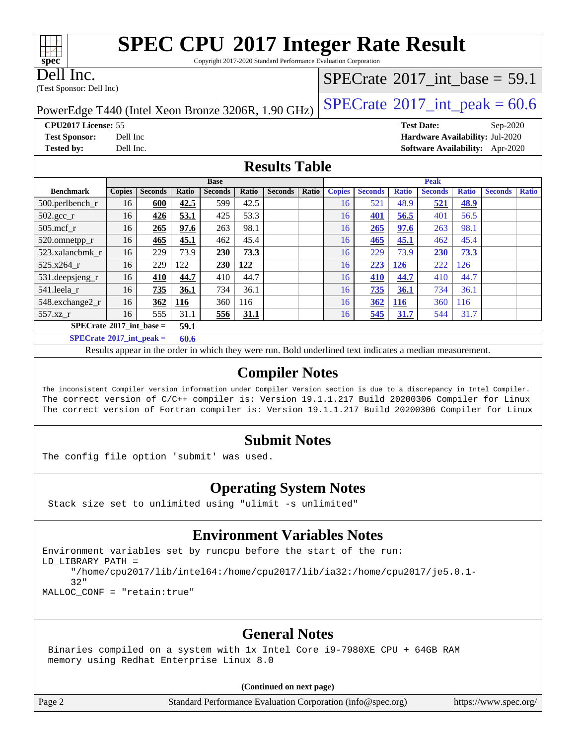Copyright 2017-2020 Standard Performance Evaluation Corporation

Dell Inc.

(Test Sponsor: Dell Inc)

### [SPECrate](http://www.spec.org/auto/cpu2017/Docs/result-fields.html#SPECrate2017intbase)®2017 int\_base = 59.1

PowerEdge T440 (Intel Xeon Bronze 3206R, 1.90 GHz)  $\left|$  [SPECrate](http://www.spec.org/auto/cpu2017/Docs/result-fields.html#SPECrate2017intpeak)®[2017\\_int\\_peak =](http://www.spec.org/auto/cpu2017/Docs/result-fields.html#SPECrate2017intpeak) 60.6

**[CPU2017 License:](http://www.spec.org/auto/cpu2017/Docs/result-fields.html#CPU2017License)** 55 **[Test Date:](http://www.spec.org/auto/cpu2017/Docs/result-fields.html#TestDate)** Sep-2020 **[Test Sponsor:](http://www.spec.org/auto/cpu2017/Docs/result-fields.html#TestSponsor)** Dell Inc **[Hardware Availability:](http://www.spec.org/auto/cpu2017/Docs/result-fields.html#HardwareAvailability)** Jul-2020 **[Tested by:](http://www.spec.org/auto/cpu2017/Docs/result-fields.html#Testedby)** Dell Inc. **[Software Availability:](http://www.spec.org/auto/cpu2017/Docs/result-fields.html#SoftwareAvailability)** Apr-2020

#### **[Results Table](http://www.spec.org/auto/cpu2017/Docs/result-fields.html#ResultsTable)**

|                                   |               |                |            | <b>Base</b>    |       |                |       | <b>Peak</b>   |                |              |                |              |                |              |
|-----------------------------------|---------------|----------------|------------|----------------|-------|----------------|-------|---------------|----------------|--------------|----------------|--------------|----------------|--------------|
| <b>Benchmark</b>                  | <b>Copies</b> | <b>Seconds</b> | Ratio      | <b>Seconds</b> | Ratio | <b>Seconds</b> | Ratio | <b>Copies</b> | <b>Seconds</b> | <b>Ratio</b> | <b>Seconds</b> | <b>Ratio</b> | <b>Seconds</b> | <b>Ratio</b> |
| $500.$ perlbench_r                | 16            | 600            | 42.5       | 599            | 42.5  |                |       | 16            | 521            | 48.9         | 521            | <u>48.9</u>  |                |              |
| $502.\text{gcc}$ <sub>r</sub>     | 16            | 426            | 53.1       | 425            | 53.3  |                |       | 16            | 401            | 56.5         | 401            | 56.5         |                |              |
| $505$ .mcf r                      | 16            | 265            | 97.6       | 263            | 98.1  |                |       | 16            | 265            | 97.6         | 263            | 98.1         |                |              |
| 520.omnetpp_r                     | 16            | 465            | 45.1       | 462            | 45.4  |                |       | 16            | 465            | 45.1         | 462            | 45.4         |                |              |
| 523.xalancbmk r                   | 16            | 229            | 73.9       | 230            | 73.3  |                |       | 16            | 229            | 73.9         | 230            | 73.3         |                |              |
| 525.x264 r                        | 16            | 229            | 122        | 230            | 122   |                |       | 16            | 223            | <b>126</b>   | 222            | 126          |                |              |
| 531.deepsjeng_r                   | 16            | 410            | 44.7       | 410            | 44.7  |                |       | 16            | 410            | 44.7         | 410            | 44.7         |                |              |
| 541.leela r                       | 16            | 735            | 36.1       | 734            | 36.1  |                |       | 16            | 735            | 36.1         | 734            | 36.1         |                |              |
| 548.exchange2_r                   | 16            | 362            | <u>116</u> | 360            | 116   |                |       | 16            | 362            | <u>116</u>   | 360            | 116          |                |              |
| 557.xz r                          | 16            | 555            | 31.1       | 556            | 31.1  |                |       | 16            | 545            | 31.7         | 544            | 31.7         |                |              |
| $SPECrate^{\circ}2017$ int base = |               |                | 59.1       |                |       |                |       |               |                |              |                |              |                |              |
| $SPECrate^{\circ}2017$ int peak = |               |                | 60.6       |                |       |                |       |               |                |              |                |              |                |              |

Results appear in the [order in which they were run.](http://www.spec.org/auto/cpu2017/Docs/result-fields.html#RunOrder) Bold underlined text [indicates a median measurement.](http://www.spec.org/auto/cpu2017/Docs/result-fields.html#Median)

#### **[Compiler Notes](http://www.spec.org/auto/cpu2017/Docs/result-fields.html#CompilerNotes)**

The inconsistent Compiler version information under Compiler Version section is due to a discrepancy in Intel Compiler. The correct version of C/C++ compiler is: Version 19.1.1.217 Build 20200306 Compiler for Linux The correct version of Fortran compiler is: Version 19.1.1.217 Build 20200306 Compiler for Linux

#### **[Submit Notes](http://www.spec.org/auto/cpu2017/Docs/result-fields.html#SubmitNotes)**

The config file option 'submit' was used.

#### **[Operating System Notes](http://www.spec.org/auto/cpu2017/Docs/result-fields.html#OperatingSystemNotes)**

Stack size set to unlimited using "ulimit -s unlimited"

#### **[Environment Variables Notes](http://www.spec.org/auto/cpu2017/Docs/result-fields.html#EnvironmentVariablesNotes)**

```
Environment variables set by runcpu before the start of the run:
LD_LIBRARY_PATH =
      "/home/cpu2017/lib/intel64:/home/cpu2017/lib/ia32:/home/cpu2017/je5.0.1-
      32"
MALLOC_CONF = "retain:true"
```
#### **[General Notes](http://www.spec.org/auto/cpu2017/Docs/result-fields.html#GeneralNotes)**

 Binaries compiled on a system with 1x Intel Core i9-7980XE CPU + 64GB RAM memory using Redhat Enterprise Linux 8.0

#### **(Continued on next page)**

Page 2 Standard Performance Evaluation Corporation [\(info@spec.org\)](mailto:info@spec.org) <https://www.spec.org/>

#### $\pm\pm\prime$ **[spec](http://www.spec.org/)**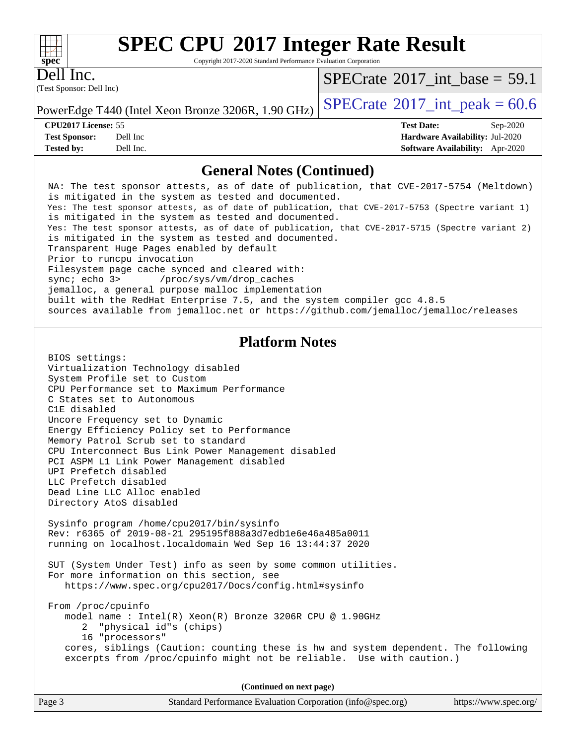Copyright 2017-2020 Standard Performance Evaluation Corporation

(Test Sponsor: Dell Inc) Dell Inc.

**[spec](http://www.spec.org/)**

 $+\ +$ 

[SPECrate](http://www.spec.org/auto/cpu2017/Docs/result-fields.html#SPECrate2017intbase)<sup>®</sup>2017 int\_base = 59.1

**[Tested by:](http://www.spec.org/auto/cpu2017/Docs/result-fields.html#Testedby)** Dell Inc. **[Software Availability:](http://www.spec.org/auto/cpu2017/Docs/result-fields.html#SoftwareAvailability)** Apr-2020

PowerEdge T440 (Intel Xeon Bronze 3206R, 1.90 GHz)  $\left|$  [SPECrate](http://www.spec.org/auto/cpu2017/Docs/result-fields.html#SPECrate2017intpeak)®[2017\\_int\\_peak =](http://www.spec.org/auto/cpu2017/Docs/result-fields.html#SPECrate2017intpeak) 60.6

**[CPU2017 License:](http://www.spec.org/auto/cpu2017/Docs/result-fields.html#CPU2017License)** 55 **[Test Date:](http://www.spec.org/auto/cpu2017/Docs/result-fields.html#TestDate)** Sep-2020 **[Test Sponsor:](http://www.spec.org/auto/cpu2017/Docs/result-fields.html#TestSponsor)** Dell Inc **[Hardware Availability:](http://www.spec.org/auto/cpu2017/Docs/result-fields.html#HardwareAvailability)** Jul-2020

#### **[General Notes \(Continued\)](http://www.spec.org/auto/cpu2017/Docs/result-fields.html#GeneralNotes)**

| Ocheral Poles (Continueu)                                                                                                                                                                                                                                                                                                                                                                                                                                                                                                                                                                                                                                                                                                                                                                                                                                             |  |
|-----------------------------------------------------------------------------------------------------------------------------------------------------------------------------------------------------------------------------------------------------------------------------------------------------------------------------------------------------------------------------------------------------------------------------------------------------------------------------------------------------------------------------------------------------------------------------------------------------------------------------------------------------------------------------------------------------------------------------------------------------------------------------------------------------------------------------------------------------------------------|--|
| NA: The test sponsor attests, as of date of publication, that CVE-2017-5754 (Meltdown)<br>is mitigated in the system as tested and documented.<br>Yes: The test sponsor attests, as of date of publication, that CVE-2017-5753 (Spectre variant 1)<br>is mitigated in the system as tested and documented.<br>Yes: The test sponsor attests, as of date of publication, that CVE-2017-5715 (Spectre variant 2)<br>is mitigated in the system as tested and documented.<br>Transparent Huge Pages enabled by default<br>Prior to runcpu invocation<br>Filesystem page cache synced and cleared with:<br>sync: echo 3> /proc/sys/vm/drop_caches<br>jemalloc, a general purpose malloc implementation<br>built with the RedHat Enterprise 7.5, and the system compiler gcc 4.8.5<br>sources available from jemalloc.net or https://github.com/jemalloc/jemalloc/releases |  |
| <b>Platform Notes</b>                                                                                                                                                                                                                                                                                                                                                                                                                                                                                                                                                                                                                                                                                                                                                                                                                                                 |  |
| BIOS settings:<br>Virtualization Technology disabled<br>System Profile set to Custom<br>CPU Performance set to Maximum Performance<br>C States set to Autonomous<br>C1E disabled<br>Uncore Frequency set to Dynamic<br>Energy Efficiency Policy set to Performance<br>Memory Patrol Scrub set to standard<br>CPU Interconnect Bus Link Power Management disabled<br>PCI ASPM L1 Link Power Management disabled<br>UPI Prefetch disabled<br>LLC Prefetch disabled<br>Dead Line LLC Alloc enabled<br>Directory AtoS disabled                                                                                                                                                                                                                                                                                                                                            |  |
| Sysinfo program /home/cpu2017/bin/sysinfo<br>Rev: r6365 of 2019-08-21 295195f888a3d7edble6e46a485a0011<br>running on localhost.localdomain Wed Sep 16 13:44:37 2020                                                                                                                                                                                                                                                                                                                                                                                                                                                                                                                                                                                                                                                                                                   |  |
| SUT (System Under Test) info as seen by some common utilities.<br>For more information on this section, see<br>https://www.spec.org/cpu2017/Docs/config.html#sysinfo                                                                                                                                                                                                                                                                                                                                                                                                                                                                                                                                                                                                                                                                                                  |  |
| From /proc/cpuinfo<br>model name: $Intel(R)$ Xeon(R) Bronze 3206R CPU @ 1.90GHz<br>"physical id"s (chips)<br>2<br>16 "processors"                                                                                                                                                                                                                                                                                                                                                                                                                                                                                                                                                                                                                                                                                                                                     |  |

 cores, siblings (Caution: counting these is hw and system dependent. The following excerpts from /proc/cpuinfo might not be reliable. Use with caution.)

**(Continued on next page)**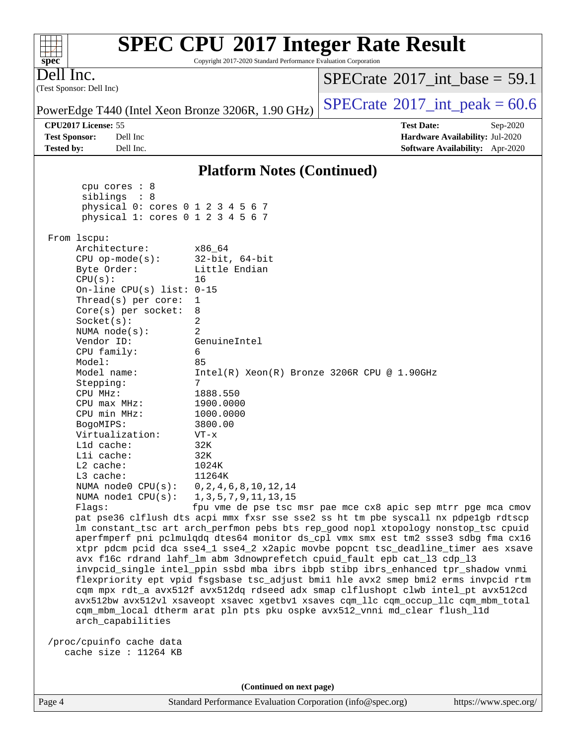| <b>SPEC CPU®2017 Integer Rate Result</b><br>Copyright 2017-2020 Standard Performance Evaluation Corporation<br>$spec^*$                                                    |                                                               |
|----------------------------------------------------------------------------------------------------------------------------------------------------------------------------|---------------------------------------------------------------|
| Dell Inc.<br>(Test Sponsor: Dell Inc)                                                                                                                                      | $SPECTate$ <sup>®</sup> 2017_int_base = 59.1                  |
| PowerEdge T440 (Intel Xeon Bronze 3206R, 1.90 GHz)                                                                                                                         | $SPECTate^{\circ}2017\_int\_peak = 60.6$                      |
| CPU2017 License: 55                                                                                                                                                        | <b>Test Date:</b><br>Sep-2020                                 |
| <b>Test Sponsor:</b><br>Dell Inc                                                                                                                                           | Hardware Availability: Jul-2020                               |
| Dell Inc.<br><b>Tested by:</b>                                                                                                                                             | <b>Software Availability:</b> Apr-2020                        |
| <b>Platform Notes (Continued)</b>                                                                                                                                          |                                                               |
| cpu cores : 8                                                                                                                                                              |                                                               |
| siblings : 8<br>physical 0: cores 0 1 2 3 4 5 6 7                                                                                                                          |                                                               |
| physical 1: cores 0 1 2 3 4 5 6 7                                                                                                                                          |                                                               |
| From lscpu:                                                                                                                                                                |                                                               |
| Architecture:<br>x86 64                                                                                                                                                    |                                                               |
| $32$ -bit, $64$ -bit<br>$CPU$ op-mode( $s$ ):<br>Byte Order:<br>Little Endian                                                                                              |                                                               |
| CPU(s):<br>16                                                                                                                                                              |                                                               |
| On-line CPU(s) list: $0-15$                                                                                                                                                |                                                               |
| Thread(s) per core:<br>1<br>$Core(s)$ per socket:<br>8                                                                                                                     |                                                               |
| 2<br>Socket(s):                                                                                                                                                            |                                                               |
| 2<br>NUMA $node(s):$                                                                                                                                                       |                                                               |
| Vendor ID:<br>GenuineIntel<br>CPU family:<br>6                                                                                                                             |                                                               |
| Model:<br>85                                                                                                                                                               |                                                               |
| Model name:                                                                                                                                                                | $Intel(R) Xeon(R) Bronze 3206R CPU @ 1.90GHz$                 |
| 7<br>Stepping:<br>CPU MHz:<br>1888.550                                                                                                                                     |                                                               |
| 1900.0000<br>$CPU$ max $MHz$ :                                                                                                                                             |                                                               |
| CPU min MHz:<br>1000.0000                                                                                                                                                  |                                                               |
| BogoMIPS:<br>3800.00                                                                                                                                                       |                                                               |
| Virtualization:<br>$VT - x$<br>Lld cache:<br>32K                                                                                                                           |                                                               |
| Lli cache:<br>32K                                                                                                                                                          |                                                               |
| $L2$ cache:<br>1024K                                                                                                                                                       |                                                               |
| L3 cache:<br>11264K<br>NUMA node0 CPU(s):<br>0, 2, 4, 6, 8, 10, 12, 14                                                                                                     |                                                               |
| NUMA $node1$ $CPU(s):$<br>1, 3, 5, 7, 9, 11, 13, 15                                                                                                                        |                                                               |
| Flags:                                                                                                                                                                     | fpu vme de pse tsc msr pae mce cx8 apic sep mtrr pge mca cmov |
| pat pse36 clflush dts acpi mmx fxsr sse sse2 ss ht tm pbe syscall nx pdpelgb rdtscp<br>lm constant_tsc art arch_perfmon pebs bts rep_good nopl xtopology nonstop_tsc cpuid |                                                               |
| aperfmperf pni pclmulqdq dtes64 monitor ds_cpl vmx smx est tm2 ssse3 sdbg fma cx16                                                                                         |                                                               |
| xtpr pdcm pcid dca sse4_1 sse4_2 x2apic movbe popcnt tsc_deadline_timer aes xsave                                                                                          |                                                               |
| avx f16c rdrand lahf_lm abm 3dnowprefetch cpuid_fault epb cat_13 cdp_13                                                                                                    |                                                               |
| invpcid_single intel_ppin ssbd mba ibrs ibpb stibp ibrs_enhanced tpr_shadow vnmi<br>flexpriority ept vpid fsgsbase tsc_adjust bmil hle avx2 smep bmi2 erms invpcid rtm     |                                                               |
| cqm mpx rdt_a avx512f avx512dq rdseed adx smap clflushopt clwb intel_pt avx512cd                                                                                           |                                                               |
| avx512bw avx512vl xsaveopt xsavec xgetbvl xsaves cqm_llc cqm_occup_llc cqm_mbm_total                                                                                       |                                                               |
| cqm_mbm_local dtherm arat pln pts pku ospke avx512_vnni md_clear flush_lld<br>arch_capabilities                                                                            |                                                               |
|                                                                                                                                                                            |                                                               |
| /proc/cpuinfo cache data<br>cache size : 11264 KB                                                                                                                          |                                                               |
|                                                                                                                                                                            |                                                               |
|                                                                                                                                                                            |                                                               |
| (Continued on next page)                                                                                                                                                   |                                                               |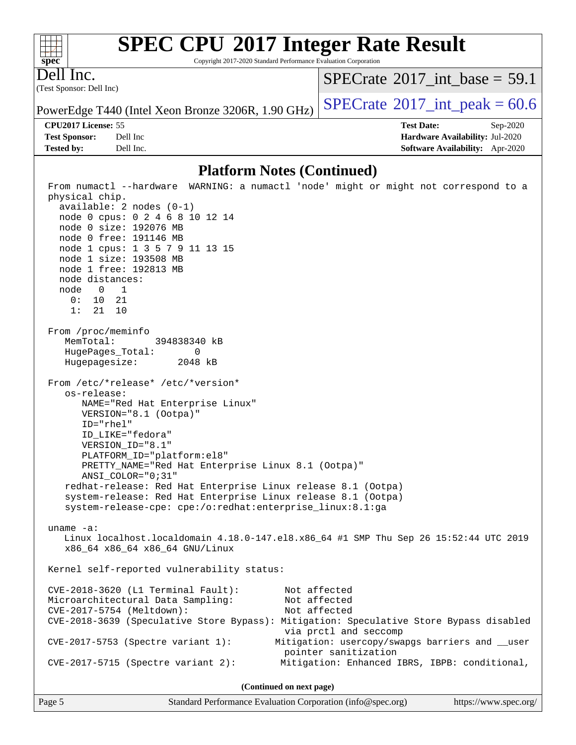Copyright 2017-2020 Standard Performance Evaluation Corporation

(Test Sponsor: Dell Inc) Dell Inc.

**[spec](http://www.spec.org/)**

 $+\ +$ 

[SPECrate](http://www.spec.org/auto/cpu2017/Docs/result-fields.html#SPECrate2017intbase)®2017 int\_base = 59.1

PowerEdge T440 (Intel Xeon Bronze 3206R, 1.90 GHz)  $\left|$  [SPECrate](http://www.spec.org/auto/cpu2017/Docs/result-fields.html#SPECrate2017intpeak)<sup>®</sup>[2017\\_int\\_peak =](http://www.spec.org/auto/cpu2017/Docs/result-fields.html#SPECrate2017intpeak) 60.6

**[CPU2017 License:](http://www.spec.org/auto/cpu2017/Docs/result-fields.html#CPU2017License)** 55 **[Test Date:](http://www.spec.org/auto/cpu2017/Docs/result-fields.html#TestDate)** Sep-2020 **[Test Sponsor:](http://www.spec.org/auto/cpu2017/Docs/result-fields.html#TestSponsor)** Dell Inc **[Hardware Availability:](http://www.spec.org/auto/cpu2017/Docs/result-fields.html#HardwareAvailability)** Jul-2020 **[Tested by:](http://www.spec.org/auto/cpu2017/Docs/result-fields.html#Testedby)** Dell Inc. **[Software Availability:](http://www.spec.org/auto/cpu2017/Docs/result-fields.html#SoftwareAvailability)** Apr-2020

#### **[Platform Notes \(Continued\)](http://www.spec.org/auto/cpu2017/Docs/result-fields.html#PlatformNotes)**

 From numactl --hardware WARNING: a numactl 'node' might or might not correspond to a physical chip. available: 2 nodes (0-1) node 0 cpus: 0 2 4 6 8 10 12 14 node 0 size: 192076 MB node 0 free: 191146 MB node 1 cpus: 1 3 5 7 9 11 13 15 node 1 size: 193508 MB node 1 free: 192813 MB node distances: node 0 1 0: 10 21 1: 21 10 From /proc/meminfo MemTotal: 394838340 kB HugePages\_Total: 0 Hugepagesize: 2048 kB From /etc/\*release\* /etc/\*version\* os-release: NAME="Red Hat Enterprise Linux" VERSION="8.1 (Ootpa)" ID="rhel" ID\_LIKE="fedora" VERSION\_ID="8.1" PLATFORM\_ID="platform:el8" PRETTY\_NAME="Red Hat Enterprise Linux 8.1 (Ootpa)" ANSI\_COLOR="0;31" redhat-release: Red Hat Enterprise Linux release 8.1 (Ootpa) system-release: Red Hat Enterprise Linux release 8.1 (Ootpa) system-release-cpe: cpe:/o:redhat:enterprise\_linux:8.1:ga uname -a: Linux localhost.localdomain 4.18.0-147.el8.x86\_64 #1 SMP Thu Sep 26 15:52:44 UTC 2019 x86\_64 x86\_64 x86\_64 GNU/Linux Kernel self-reported vulnerability status: CVE-2018-3620 (L1 Terminal Fault): Not affected Microarchitectural Data Sampling: Not affected CVE-2017-5754 (Meltdown): Not affected CVE-2018-3639 (Speculative Store Bypass): Mitigation: Speculative Store Bypass disabled via prctl and seccomp CVE-2017-5753 (Spectre variant 1): Mitigation: usercopy/swapgs barriers and \_\_user pointer sanitization CVE-2017-5715 (Spectre variant 2): Mitigation: Enhanced IBRS, IBPB: conditional, **(Continued on next page)**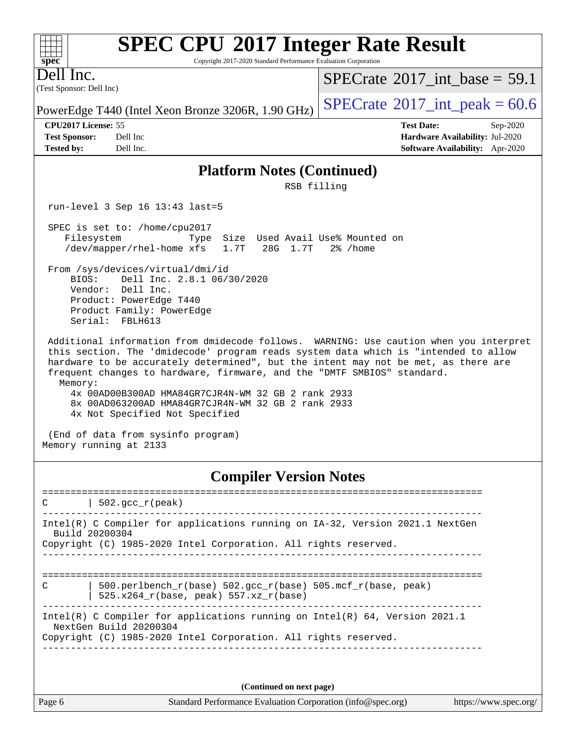Copyright 2017-2020 Standard Performance Evaluation Corporation

(Test Sponsor: Dell Inc) Dell Inc.

**[spec](http://www.spec.org/)**

 $+\hskip -1.5pt +\hskip -1.5pt +$ 

[SPECrate](http://www.spec.org/auto/cpu2017/Docs/result-fields.html#SPECrate2017intbase)®2017 int\_base = 59.1

PowerEdge T440 (Intel Xeon Bronze 3206R, 1.90 GHz)  $\left|$  [SPECrate](http://www.spec.org/auto/cpu2017/Docs/result-fields.html#SPECrate2017intpeak)<sup>®</sup>[2017\\_int\\_peak =](http://www.spec.org/auto/cpu2017/Docs/result-fields.html#SPECrate2017intpeak) 60.6

**[CPU2017 License:](http://www.spec.org/auto/cpu2017/Docs/result-fields.html#CPU2017License)** 55 **[Test Date:](http://www.spec.org/auto/cpu2017/Docs/result-fields.html#TestDate)** Sep-2020 **[Test Sponsor:](http://www.spec.org/auto/cpu2017/Docs/result-fields.html#TestSponsor)** Dell Inc **[Hardware Availability:](http://www.spec.org/auto/cpu2017/Docs/result-fields.html#HardwareAvailability)** Jul-2020 **[Tested by:](http://www.spec.org/auto/cpu2017/Docs/result-fields.html#Testedby)** Dell Inc. **[Software Availability:](http://www.spec.org/auto/cpu2017/Docs/result-fields.html#SoftwareAvailability)** Apr-2020

#### **[Platform Notes \(Continued\)](http://www.spec.org/auto/cpu2017/Docs/result-fields.html#PlatformNotes)**

RSB filling

run-level 3 Sep 16 13:43 last=5

 SPEC is set to: /home/cpu2017 Filesystem Type Size Used Avail Use% Mounted on /dev/mapper/rhel-home xfs 1.7T 28G 1.7T 2% /home

 From /sys/devices/virtual/dmi/id BIOS: Dell Inc. 2.8.1 06/30/2020 Vendor: Dell Inc. Product: PowerEdge T440 Product Family: PowerEdge Serial: FBLH613

 Additional information from dmidecode follows. WARNING: Use caution when you interpret this section. The 'dmidecode' program reads system data which is "intended to allow hardware to be accurately determined", but the intent may not be met, as there are frequent changes to hardware, firmware, and the "DMTF SMBIOS" standard. Memory:

 4x 00AD00B300AD HMA84GR7CJR4N-WM 32 GB 2 rank 2933 8x 00AD063200AD HMA84GR7CJR4N-WM 32 GB 2 rank 2933 4x Not Specified Not Specified

 (End of data from sysinfo program) Memory running at 2133

#### **[Compiler Version Notes](http://www.spec.org/auto/cpu2017/Docs/result-fields.html#CompilerVersionNotes)**

==============================================================================  $|$  502.gcc\_r(peak) ------------------------------------------------------------------------------ Intel(R) C Compiler for applications running on IA-32, Version 2021.1 NextGen Build 20200304 Copyright (C) 1985-2020 Intel Corporation. All rights reserved. ------------------------------------------------------------------------------ ============================================================================== C | 500.perlbench\_r(base) 502.gcc\_r(base) 505.mcf\_r(base, peak) | 525.x264\_r(base, peak) 557.xz\_r(base) ------------------------------------------------------------------------------ Intel(R) C Compiler for applications running on Intel(R) 64, Version 2021.1 NextGen Build 20200304 Copyright (C) 1985-2020 Intel Corporation. All rights reserved. ------------------------------------------------------------------------------

**(Continued on next page)**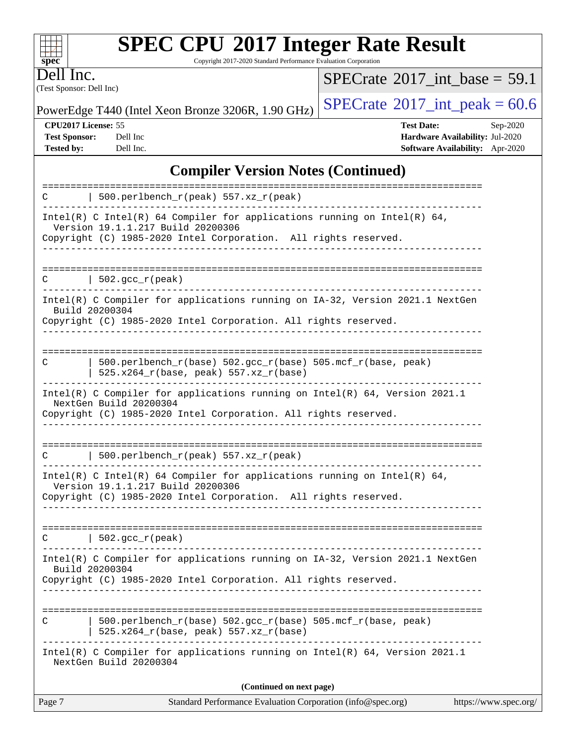Copyright 2017-2020 Standard Performance Evaluation Corporation

(Test Sponsor: Dell Inc) Dell Inc.

**[spec](http://www.spec.org/)**

 $+\ +$ 

 $SPECTate$ <sup>®</sup>[2017\\_int\\_base =](http://www.spec.org/auto/cpu2017/Docs/result-fields.html#SPECrate2017intbase) 59.1

PowerEdge T440 (Intel Xeon Bronze 3206R, 1.90 GHz)  $\left|$  [SPECrate](http://www.spec.org/auto/cpu2017/Docs/result-fields.html#SPECrate2017intpeak)<sup>®</sup>[2017\\_int\\_peak =](http://www.spec.org/auto/cpu2017/Docs/result-fields.html#SPECrate2017intpeak) 60.6

**[CPU2017 License:](http://www.spec.org/auto/cpu2017/Docs/result-fields.html#CPU2017License)** 55 **[Test Date:](http://www.spec.org/auto/cpu2017/Docs/result-fields.html#TestDate)** Sep-2020 **[Test Sponsor:](http://www.spec.org/auto/cpu2017/Docs/result-fields.html#TestSponsor)** Dell Inc **[Hardware Availability:](http://www.spec.org/auto/cpu2017/Docs/result-fields.html#HardwareAvailability)** Jul-2020 **[Tested by:](http://www.spec.org/auto/cpu2017/Docs/result-fields.html#Testedby)** Dell Inc. **[Software Availability:](http://www.spec.org/auto/cpu2017/Docs/result-fields.html#SoftwareAvailability)** Apr-2020

### **[Compiler Version Notes \(Continued\)](http://www.spec.org/auto/cpu2017/Docs/result-fields.html#CompilerVersionNotes)**

| C | 500.perlbench_r(base) 502.gcc_r(base) 505.mcf_r(base, peak)<br>525.x264_r(base, peak) 557.xz_r(base)                                                                             |  |
|---|----------------------------------------------------------------------------------------------------------------------------------------------------------------------------------|--|
|   | Intel(R) C Compiler for applications running on IA-32, Version 2021.1 NextGen<br>Build 20200304<br>Copyright (C) 1985-2020 Intel Corporation. All rights reserved.               |  |
| C | 502.gcc_r(peak)                                                                                                                                                                  |  |
|   | Intel(R) C Intel(R) 64 Compiler for applications running on Intel(R) 64,<br>Version 19.1.1.217 Build 20200306<br>Copyright (C) 1985-2020 Intel Corporation. All rights reserved. |  |
| C | $500.perlbench_r(peak) 557. xz_r(peak)$                                                                                                                                          |  |
|   | Intel(R) C Compiler for applications running on Intel(R) $64$ , Version 2021.1<br>NextGen Build 20200304<br>Copyright (C) 1985-2020 Intel Corporation. All rights reserved.      |  |
| C | $500. perlbench_r(base) 502. gcc_r(base) 505.mcf_r(base, peak)$<br>$525.x264_r(base, peak) 557.xz_r(base)$                                                                       |  |
|   | Intel(R) C Compiler for applications running on IA-32, Version 2021.1 NextGen<br>Build 20200304<br>Copyright (C) 1985-2020 Intel Corporation. All rights reserved.               |  |
| C | 502.gcc_r(peak)                                                                                                                                                                  |  |
|   | Intel(R) C Intel(R) 64 Compiler for applications running on Intel(R) 64,<br>Version 19.1.1.217 Build 20200306<br>Copyright (C) 1985-2020 Intel Corporation. All rights reserved. |  |
| C | 500.perlbench_r(peak) 557.xz_r(peak)                                                                                                                                             |  |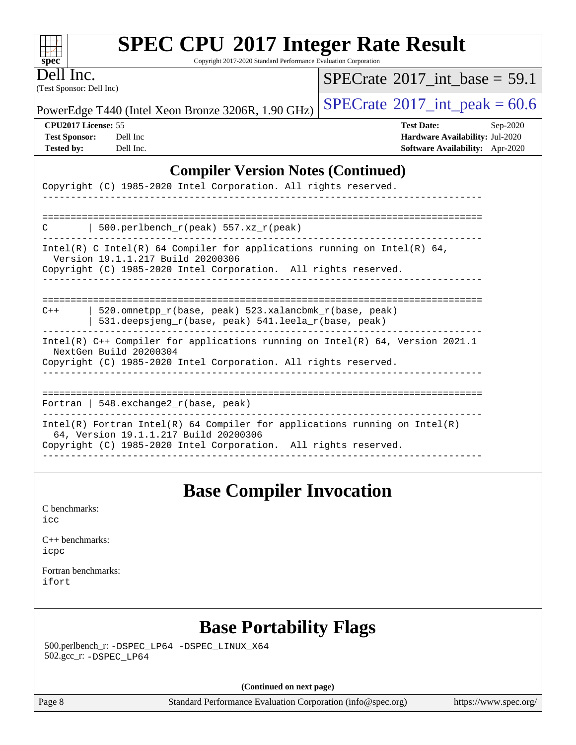Copyright 2017-2020 Standard Performance Evaluation Corporation

(Test Sponsor: Dell Inc) Dell Inc.

**[spec](http://www.spec.org/)**

 $+++$ 

 $SPECTate$ <sup>®</sup>[2017\\_int\\_base =](http://www.spec.org/auto/cpu2017/Docs/result-fields.html#SPECrate2017intbase) 59.1

PowerEdge T440 (Intel Xeon Bronze 3206R, 1.90 GHz)  $\left|$  [SPECrate](http://www.spec.org/auto/cpu2017/Docs/result-fields.html#SPECrate2017intpeak)®[2017\\_int\\_peak =](http://www.spec.org/auto/cpu2017/Docs/result-fields.html#SPECrate2017intpeak) 60.6

**[CPU2017 License:](http://www.spec.org/auto/cpu2017/Docs/result-fields.html#CPU2017License)** 55 **[Test Date:](http://www.spec.org/auto/cpu2017/Docs/result-fields.html#TestDate)** Sep-2020 **[Test Sponsor:](http://www.spec.org/auto/cpu2017/Docs/result-fields.html#TestSponsor)** Dell Inc **[Hardware Availability:](http://www.spec.org/auto/cpu2017/Docs/result-fields.html#HardwareAvailability)** Jul-2020 **[Tested by:](http://www.spec.org/auto/cpu2017/Docs/result-fields.html#Testedby)** Dell Inc. **[Software Availability:](http://www.spec.org/auto/cpu2017/Docs/result-fields.html#SoftwareAvailability)** Apr-2020

#### **[Compiler Version Notes \(Continued\)](http://www.spec.org/auto/cpu2017/Docs/result-fields.html#CompilerVersionNotes)**

| Copyright (C) 1985-2020 Intel Corporation. All rights reserved.                                                                                                                        |
|----------------------------------------------------------------------------------------------------------------------------------------------------------------------------------------|
|                                                                                                                                                                                        |
| 500.perlbench $r(\text{peak})$ 557.xz $r(\text{peak})$<br>C                                                                                                                            |
| Intel(R) C Intel(R) 64 Compiler for applications running on Intel(R) 64,<br>Version 19.1.1.217 Build 20200306<br>Copyright (C) 1985-2020 Intel Corporation. All rights reserved.       |
|                                                                                                                                                                                        |
| 520.omnetpp $r(base, peak)$ 523.xalancbmk $r(base, peak)$<br>$C++$<br>531.deepsjeng_r(base, peak) 541.leela_r(base, peak)                                                              |
| Intel(R) C++ Compiler for applications running on Intel(R) 64, Version 2021.1<br>NextGen Build 20200304<br>Copyright (C) 1985-2020 Intel Corporation. All rights reserved.             |
|                                                                                                                                                                                        |
| Fortran   548. exchange $2_r$ (base, peak)                                                                                                                                             |
| Intel(R) Fortran Intel(R) 64 Compiler for applications running on Intel(R)<br>64, Version 19.1.1.217 Build 20200306<br>Copyright (C) 1985-2020 Intel Corporation. All rights reserved. |
|                                                                                                                                                                                        |

### **[Base Compiler Invocation](http://www.spec.org/auto/cpu2017/Docs/result-fields.html#BaseCompilerInvocation)**

[C benchmarks](http://www.spec.org/auto/cpu2017/Docs/result-fields.html#Cbenchmarks): [icc](http://www.spec.org/cpu2017/results/res2020q4/cpu2017-20200928-24064.flags.html#user_CCbase_intel_icc_66fc1ee009f7361af1fbd72ca7dcefbb700085f36577c54f309893dd4ec40d12360134090235512931783d35fd58c0460139e722d5067c5574d8eaf2b3e37e92)

[C++ benchmarks:](http://www.spec.org/auto/cpu2017/Docs/result-fields.html#CXXbenchmarks) [icpc](http://www.spec.org/cpu2017/results/res2020q4/cpu2017-20200928-24064.flags.html#user_CXXbase_intel_icpc_c510b6838c7f56d33e37e94d029a35b4a7bccf4766a728ee175e80a419847e808290a9b78be685c44ab727ea267ec2f070ec5dc83b407c0218cded6866a35d07)

[Fortran benchmarks](http://www.spec.org/auto/cpu2017/Docs/result-fields.html#Fortranbenchmarks): [ifort](http://www.spec.org/cpu2017/results/res2020q4/cpu2017-20200928-24064.flags.html#user_FCbase_intel_ifort_8111460550e3ca792625aed983ce982f94888b8b503583aa7ba2b8303487b4d8a21a13e7191a45c5fd58ff318f48f9492884d4413fa793fd88dd292cad7027ca)

### **[Base Portability Flags](http://www.spec.org/auto/cpu2017/Docs/result-fields.html#BasePortabilityFlags)**

 500.perlbench\_r: [-DSPEC\\_LP64](http://www.spec.org/cpu2017/results/res2020q4/cpu2017-20200928-24064.flags.html#b500.perlbench_r_basePORTABILITY_DSPEC_LP64) [-DSPEC\\_LINUX\\_X64](http://www.spec.org/cpu2017/results/res2020q4/cpu2017-20200928-24064.flags.html#b500.perlbench_r_baseCPORTABILITY_DSPEC_LINUX_X64) 502.gcc\_r: [-DSPEC\\_LP64](http://www.spec.org/cpu2017/results/res2020q4/cpu2017-20200928-24064.flags.html#suite_basePORTABILITY502_gcc_r_DSPEC_LP64)

**(Continued on next page)**

Page 8 Standard Performance Evaluation Corporation [\(info@spec.org\)](mailto:info@spec.org) <https://www.spec.org/>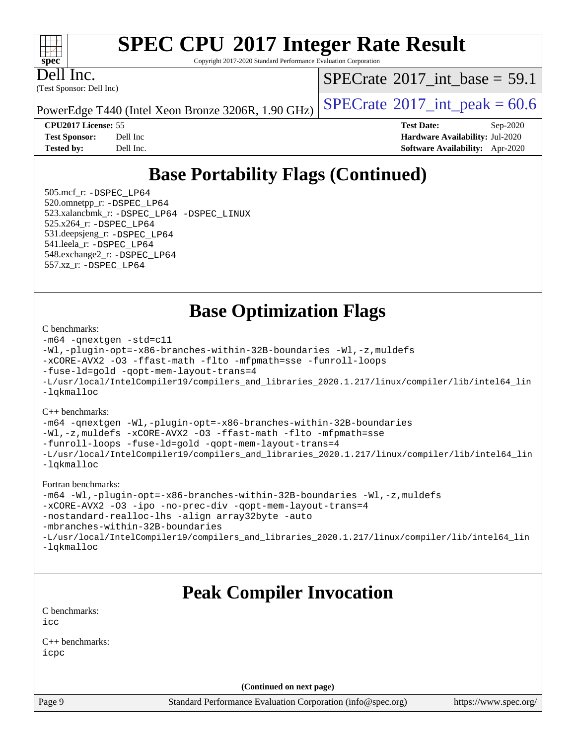#### $+\ +$ **[spec](http://www.spec.org/)**

# **[SPEC CPU](http://www.spec.org/auto/cpu2017/Docs/result-fields.html#SPECCPU2017IntegerRateResult)[2017 Integer Rate Result](http://www.spec.org/auto/cpu2017/Docs/result-fields.html#SPECCPU2017IntegerRateResult)**

Copyright 2017-2020 Standard Performance Evaluation Corporation

(Test Sponsor: Dell Inc) Dell Inc.

[SPECrate](http://www.spec.org/auto/cpu2017/Docs/result-fields.html#SPECrate2017intbase)®2017 int\_base = 59.1

PowerEdge T440 (Intel Xeon Bronze 3206R, 1.90 GHz)  $\left|$  [SPECrate](http://www.spec.org/auto/cpu2017/Docs/result-fields.html#SPECrate2017intpeak)<sup>®</sup>[2017\\_int\\_peak =](http://www.spec.org/auto/cpu2017/Docs/result-fields.html#SPECrate2017intpeak) 60.6

**[CPU2017 License:](http://www.spec.org/auto/cpu2017/Docs/result-fields.html#CPU2017License)** 55 **[Test Date:](http://www.spec.org/auto/cpu2017/Docs/result-fields.html#TestDate)** Sep-2020 **[Test Sponsor:](http://www.spec.org/auto/cpu2017/Docs/result-fields.html#TestSponsor)** Dell Inc **[Hardware Availability:](http://www.spec.org/auto/cpu2017/Docs/result-fields.html#HardwareAvailability)** Jul-2020 **[Tested by:](http://www.spec.org/auto/cpu2017/Docs/result-fields.html#Testedby)** Dell Inc. **[Software Availability:](http://www.spec.org/auto/cpu2017/Docs/result-fields.html#SoftwareAvailability)** Apr-2020

## **[Base Portability Flags \(Continued\)](http://www.spec.org/auto/cpu2017/Docs/result-fields.html#BasePortabilityFlags)**

 505.mcf\_r: [-DSPEC\\_LP64](http://www.spec.org/cpu2017/results/res2020q4/cpu2017-20200928-24064.flags.html#suite_basePORTABILITY505_mcf_r_DSPEC_LP64) 520.omnetpp\_r: [-DSPEC\\_LP64](http://www.spec.org/cpu2017/results/res2020q4/cpu2017-20200928-24064.flags.html#suite_basePORTABILITY520_omnetpp_r_DSPEC_LP64) 523.xalancbmk\_r: [-DSPEC\\_LP64](http://www.spec.org/cpu2017/results/res2020q4/cpu2017-20200928-24064.flags.html#suite_basePORTABILITY523_xalancbmk_r_DSPEC_LP64) [-DSPEC\\_LINUX](http://www.spec.org/cpu2017/results/res2020q4/cpu2017-20200928-24064.flags.html#b523.xalancbmk_r_baseCXXPORTABILITY_DSPEC_LINUX) 525.x264\_r: [-DSPEC\\_LP64](http://www.spec.org/cpu2017/results/res2020q4/cpu2017-20200928-24064.flags.html#suite_basePORTABILITY525_x264_r_DSPEC_LP64) 531.deepsjeng\_r: [-DSPEC\\_LP64](http://www.spec.org/cpu2017/results/res2020q4/cpu2017-20200928-24064.flags.html#suite_basePORTABILITY531_deepsjeng_r_DSPEC_LP64) 541.leela\_r: [-DSPEC\\_LP64](http://www.spec.org/cpu2017/results/res2020q4/cpu2017-20200928-24064.flags.html#suite_basePORTABILITY541_leela_r_DSPEC_LP64) 548.exchange2\_r: [-DSPEC\\_LP64](http://www.spec.org/cpu2017/results/res2020q4/cpu2017-20200928-24064.flags.html#suite_basePORTABILITY548_exchange2_r_DSPEC_LP64) 557.xz\_r: [-DSPEC\\_LP64](http://www.spec.org/cpu2017/results/res2020q4/cpu2017-20200928-24064.flags.html#suite_basePORTABILITY557_xz_r_DSPEC_LP64)

**[Base Optimization Flags](http://www.spec.org/auto/cpu2017/Docs/result-fields.html#BaseOptimizationFlags)**

#### [C benchmarks](http://www.spec.org/auto/cpu2017/Docs/result-fields.html#Cbenchmarks):

```
-m64 -qnextgen -std=c11
-Wl,-plugin-opt=-x86-branches-within-32B-boundaries -Wl,-z,muldefs
-xCORE-AVX2 -O3 -ffast-math -flto -mfpmath=sse -funroll-loops
-fuse-ld=gold -qopt-mem-layout-trans=4
-L/usr/local/IntelCompiler19/compilers_and_libraries_2020.1.217/linux/compiler/lib/intel64_lin
-lqkmalloc
```
[C++ benchmarks](http://www.spec.org/auto/cpu2017/Docs/result-fields.html#CXXbenchmarks):

```
-m64 -qnextgen -Wl,-plugin-opt=-x86-branches-within-32B-boundaries
-Wl,-z,muldefs -xCORE-AVX2 -O3 -ffast-math -flto -mfpmath=sse
-funroll-loops -fuse-ld=gold -qopt-mem-layout-trans=4
-L/usr/local/IntelCompiler19/compilers_and_libraries_2020.1.217/linux/compiler/lib/intel64_lin
-lqkmalloc
```
#### [Fortran benchmarks:](http://www.spec.org/auto/cpu2017/Docs/result-fields.html#Fortranbenchmarks)

```
-m64 -Wl,-plugin-opt=-x86-branches-within-32B-boundaries -Wl,-z,muldefs
-xCORE-AVX2 -O3 -ipo -no-prec-div -qopt-mem-layout-trans=4
-nostandard-realloc-lhs -align array32byte -auto
-mbranches-within-32B-boundaries
-L/usr/local/IntelCompiler19/compilers_and_libraries_2020.1.217/linux/compiler/lib/intel64_lin
-lqkmalloc
```
### **[Peak Compiler Invocation](http://www.spec.org/auto/cpu2017/Docs/result-fields.html#PeakCompilerInvocation)**

[C benchmarks](http://www.spec.org/auto/cpu2017/Docs/result-fields.html#Cbenchmarks): [icc](http://www.spec.org/cpu2017/results/res2020q4/cpu2017-20200928-24064.flags.html#user_CCpeak_intel_icc_66fc1ee009f7361af1fbd72ca7dcefbb700085f36577c54f309893dd4ec40d12360134090235512931783d35fd58c0460139e722d5067c5574d8eaf2b3e37e92)

[C++ benchmarks:](http://www.spec.org/auto/cpu2017/Docs/result-fields.html#CXXbenchmarks) [icpc](http://www.spec.org/cpu2017/results/res2020q4/cpu2017-20200928-24064.flags.html#user_CXXpeak_intel_icpc_c510b6838c7f56d33e37e94d029a35b4a7bccf4766a728ee175e80a419847e808290a9b78be685c44ab727ea267ec2f070ec5dc83b407c0218cded6866a35d07)

**(Continued on next page)**

Page 9 Standard Performance Evaluation Corporation [\(info@spec.org\)](mailto:info@spec.org) <https://www.spec.org/>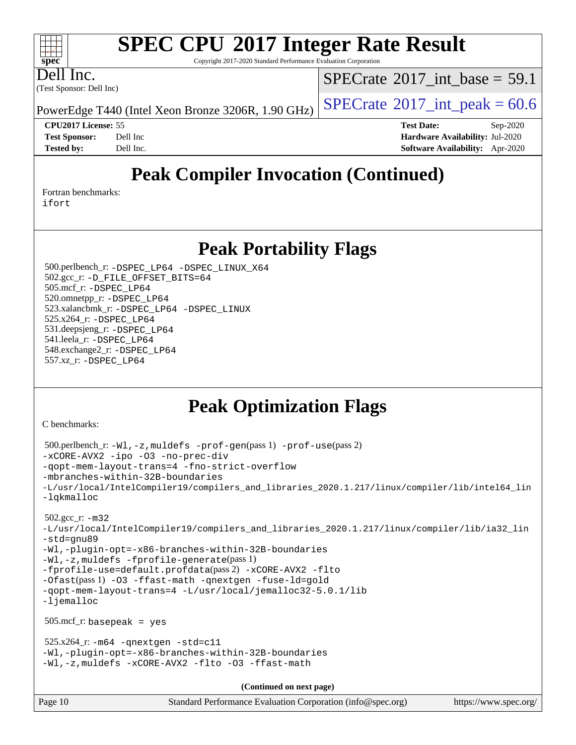Copyright 2017-2020 Standard Performance Evaluation Corporation

Dell Inc.

(Test Sponsor: Dell Inc)

[SPECrate](http://www.spec.org/auto/cpu2017/Docs/result-fields.html#SPECrate2017intbase)®2017 int\_base = 59.1

PowerEdge T440 (Intel Xeon Bronze 3206R, 1.90 GHz)  $\left|$  [SPECrate](http://www.spec.org/auto/cpu2017/Docs/result-fields.html#SPECrate2017intpeak)<sup>®</sup>[2017\\_int\\_peak =](http://www.spec.org/auto/cpu2017/Docs/result-fields.html#SPECrate2017intpeak) 60.6

**[CPU2017 License:](http://www.spec.org/auto/cpu2017/Docs/result-fields.html#CPU2017License)** 55 **[Test Date:](http://www.spec.org/auto/cpu2017/Docs/result-fields.html#TestDate)** Sep-2020 **[Test Sponsor:](http://www.spec.org/auto/cpu2017/Docs/result-fields.html#TestSponsor)** Dell Inc **[Hardware Availability:](http://www.spec.org/auto/cpu2017/Docs/result-fields.html#HardwareAvailability)** Jul-2020 **[Tested by:](http://www.spec.org/auto/cpu2017/Docs/result-fields.html#Testedby)** Dell Inc. **[Software Availability:](http://www.spec.org/auto/cpu2017/Docs/result-fields.html#SoftwareAvailability)** Apr-2020

## **[Peak Compiler Invocation \(Continued\)](http://www.spec.org/auto/cpu2017/Docs/result-fields.html#PeakCompilerInvocation)**

[Fortran benchmarks](http://www.spec.org/auto/cpu2017/Docs/result-fields.html#Fortranbenchmarks):

[ifort](http://www.spec.org/cpu2017/results/res2020q4/cpu2017-20200928-24064.flags.html#user_FCpeak_intel_ifort_8111460550e3ca792625aed983ce982f94888b8b503583aa7ba2b8303487b4d8a21a13e7191a45c5fd58ff318f48f9492884d4413fa793fd88dd292cad7027ca)

### **[Peak Portability Flags](http://www.spec.org/auto/cpu2017/Docs/result-fields.html#PeakPortabilityFlags)**

 500.perlbench\_r: [-DSPEC\\_LP64](http://www.spec.org/cpu2017/results/res2020q4/cpu2017-20200928-24064.flags.html#b500.perlbench_r_peakPORTABILITY_DSPEC_LP64) [-DSPEC\\_LINUX\\_X64](http://www.spec.org/cpu2017/results/res2020q4/cpu2017-20200928-24064.flags.html#b500.perlbench_r_peakCPORTABILITY_DSPEC_LINUX_X64) 502.gcc\_r: [-D\\_FILE\\_OFFSET\\_BITS=64](http://www.spec.org/cpu2017/results/res2020q4/cpu2017-20200928-24064.flags.html#user_peakPORTABILITY502_gcc_r_file_offset_bits_64_5ae949a99b284ddf4e95728d47cb0843d81b2eb0e18bdfe74bbf0f61d0b064f4bda2f10ea5eb90e1dcab0e84dbc592acfc5018bc955c18609f94ddb8d550002c) 505.mcf\_r: [-DSPEC\\_LP64](http://www.spec.org/cpu2017/results/res2020q4/cpu2017-20200928-24064.flags.html#suite_peakPORTABILITY505_mcf_r_DSPEC_LP64) 520.omnetpp\_r: [-DSPEC\\_LP64](http://www.spec.org/cpu2017/results/res2020q4/cpu2017-20200928-24064.flags.html#suite_peakPORTABILITY520_omnetpp_r_DSPEC_LP64) 523.xalancbmk\_r: [-DSPEC\\_LP64](http://www.spec.org/cpu2017/results/res2020q4/cpu2017-20200928-24064.flags.html#suite_peakPORTABILITY523_xalancbmk_r_DSPEC_LP64) [-DSPEC\\_LINUX](http://www.spec.org/cpu2017/results/res2020q4/cpu2017-20200928-24064.flags.html#b523.xalancbmk_r_peakCXXPORTABILITY_DSPEC_LINUX) 525.x264\_r: [-DSPEC\\_LP64](http://www.spec.org/cpu2017/results/res2020q4/cpu2017-20200928-24064.flags.html#suite_peakPORTABILITY525_x264_r_DSPEC_LP64) 531.deepsjeng\_r: [-DSPEC\\_LP64](http://www.spec.org/cpu2017/results/res2020q4/cpu2017-20200928-24064.flags.html#suite_peakPORTABILITY531_deepsjeng_r_DSPEC_LP64) 541.leela\_r: [-DSPEC\\_LP64](http://www.spec.org/cpu2017/results/res2020q4/cpu2017-20200928-24064.flags.html#suite_peakPORTABILITY541_leela_r_DSPEC_LP64) 548.exchange2\_r: [-DSPEC\\_LP64](http://www.spec.org/cpu2017/results/res2020q4/cpu2017-20200928-24064.flags.html#suite_peakPORTABILITY548_exchange2_r_DSPEC_LP64) 557.xz\_r: [-DSPEC\\_LP64](http://www.spec.org/cpu2017/results/res2020q4/cpu2017-20200928-24064.flags.html#suite_peakPORTABILITY557_xz_r_DSPEC_LP64)

### **[Peak Optimization Flags](http://www.spec.org/auto/cpu2017/Docs/result-fields.html#PeakOptimizationFlags)**

[C benchmarks](http://www.spec.org/auto/cpu2017/Docs/result-fields.html#Cbenchmarks):

```
Page 10 Standard Performance Evaluation Corporation (info@spec.org) https://www.spec.org/
  500.perlbench_r: -Wl,-z,muldefs -prof-gen(pass 1) -prof-use(pass 2)
-xCORE-AVX2 -ipo -O3 -no-prec-div
-qopt-mem-layout-trans=4 -fno-strict-overflow
-mbranches-within-32B-boundaries
-L/usr/local/IntelCompiler19/compilers_and_libraries_2020.1.217/linux/compiler/lib/intel64_lin
-lqkmalloc
  502.gcc_r: -m32
-L/usr/local/IntelCompiler19/compilers_and_libraries_2020.1.217/linux/compiler/lib/ia32_lin
-std=gnu89
-Wl,-plugin-opt=-x86-branches-within-32B-boundaries
-Wl,-z,muldefs -fprofile-generate(pass 1)
-fprofile-use=default.profdata(pass 2) -xCORE-AVX2 -flto
-Ofast(pass 1) -O3 -ffast-math -qnextgen -fuse-ld=gold
-qopt-mem-layout-trans=4 -L/usr/local/jemalloc32-5.0.1/lib
-ljemalloc
  505.mcf_r: basepeak = yes
 525.x264_r: -m64-qnextgen -std=cl1-Wl,-plugin-opt=-x86-branches-within-32B-boundaries
-Wl,-z,muldefs -xCORE-AVX2 -flto -O3 -ffast-math
                                      (Continued on next page)
```
 $+\ +$ **[spec](http://www.spec.org/)**